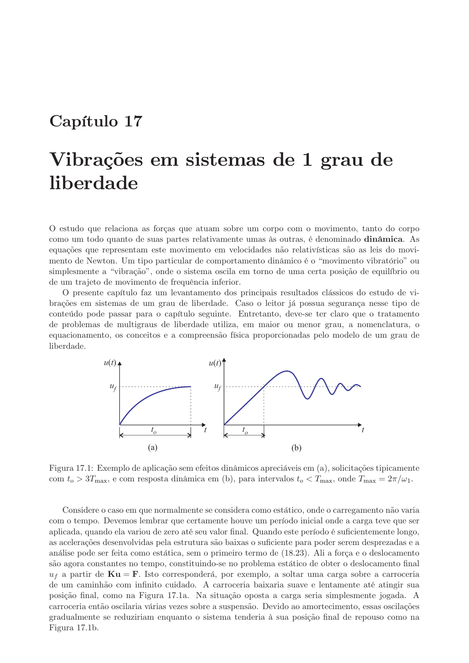## Capítulo 17

# Vibrações em sistemas de 1 grau de liberdade

O estudo que relaciona as forças que atuam sobre um corpo com o movimento, tanto do corpo como um todo quanto de suas partes relativamente umas às outras, é denominado dinâmica. As equações que representam este movimento em velocidades não relativísticas são as leis do movimento de Newton. Um tipo particular de comportamento dinâmico é o "movimento vibratório" ou simplesmente a "vibração", onde o sistema oscila em torno de uma certa posição de equilíbrio ou de um trajeto de movimento de frequência inferior.

O presente capítulo faz um levantamento dos principais resultados clássicos do estudo de vibrações em sistemas de um grau de liberdade. Caso o leitor já possua segurança nesse tipo de conteúdo pode passar para o capítulo seguinte. Entretanto, deve-se ter claro que o tratamento de problemas de multigraus de liberdade utiliza, em maior ou menor grau, a nomenclatura, o equacionamento, os conceitos e a compreensão física proporcionadas pelo modelo de um grau de liberdade.



Figura 17.1: Exemplo de aplicação sem efeitos dinâmicos apreciáveis em (a), solicitações tipicamente com  $t_o > 3T_{\text{max}}$ , e com resposta dinâmica em (b), para intervalos  $t_o < T_{\text{max}}$ , onde  $T_{\text{max}} = 2\pi/\omega_1$ .

Considere o caso em que normalmente se considera como estático, onde o carregamento não varia com o tempo. Devemos lembrar que certamente houve um período inicial onde a carga teve que ser aplicada, quando ela variou de zero até seu valor final. Quando este período é suficientemente longo, as acelerações desenvolvidas pela estrutura são baixas o suficiente para poder serem desprezadas e a análise pode ser feita como estática, sem o primeiro termo de (18.23). Ali a força e o deslocamento são agora constantes no tempo, constituindo-se no problema estático de obter o deslocamento final  $u_f$  a partir de  $\mathbf{Ku} = \mathbf{F}$ . Isto corresponderá, por exemplo, a soltar uma carga sobre a carroceria de um caminhão com infinito cuidado. A carroceria baixaria suave e lentamente até atingir sua posição final, como na Figura 17.1a. Na situação oposta a carga seria simplesmente jogada. A carroceria então oscilaria várias vezes sobre a suspensão. Devido ao amortecimento, essas oscilações gradualmente se reduziriam enquanto o sistema tenderia à sua posição final de repouso como na Figura 17.1b.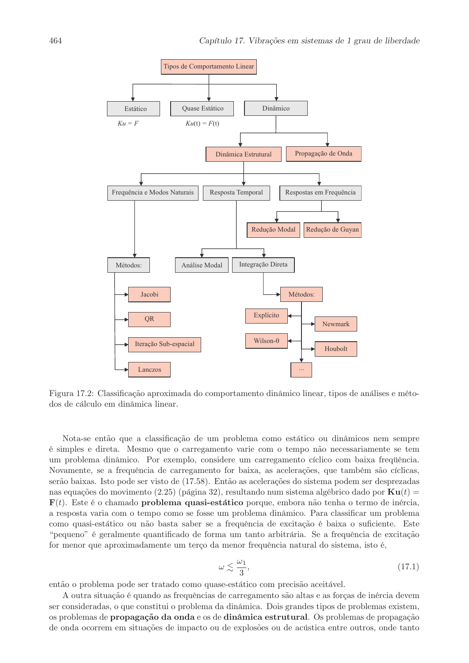

Figura 17.2: Classificação aproximada do comportamento dinâmico linear, tipos de análises e métodos de cálculo em dinâmica linear.

Nota-se então que a classificação de um problema como estático ou dinâmicos nem sempre é simples e direta. Mesmo que o carregamento varie com o tempo não necessariamente se tem um problema dinâmico. Por exemplo, considere um carregamento cíclico com baixa frequência. Novamente, se a frequência de carregamento for baixa, as acelerações, que também são cíclicas, serão baixas. Isto pode ser visto de (17.58). Então as acelerações do sistema podem ser desprezadas nas equações do movimento (2.25) (página 32), resultando num sistema algébrico dado por  $\mathbf{K}\mathbf{u}(t)$  $F(t)$ . Este é o chamado **problema quasi-estático** porque, embora não tenha o termo de inércia, a resposta varia com o tempo como se fosse um problema dinâmico. Para classificar um problema como quasi-estático ou não basta saber se a frequência de excitação é baixa o suficiente. Este "pequeno" é geralmente quantificado de forma um tanto arbitrária. Se a frequência de excitação for menor que aproximadamente um terço da menor frequência natural do sistema, isto é,

$$
\omega \lesssim \frac{\omega_1}{3},\tag{17.1}
$$

então o problema pode ser tratado como quase-estático com precisão aceitável.

A outra situação é quando as frequências de carregamento são altas e as forças de inércia devem ser consideradas, o que constitui o problema da dinâmica. Dois grandes tipos de problemas existem, os problemas de propagação da onda e os de dinâmica estrutural. Os problemas de propagação de onda ocorrem em situações de impacto ou de explosões ou de acústica entre outros, onde tanto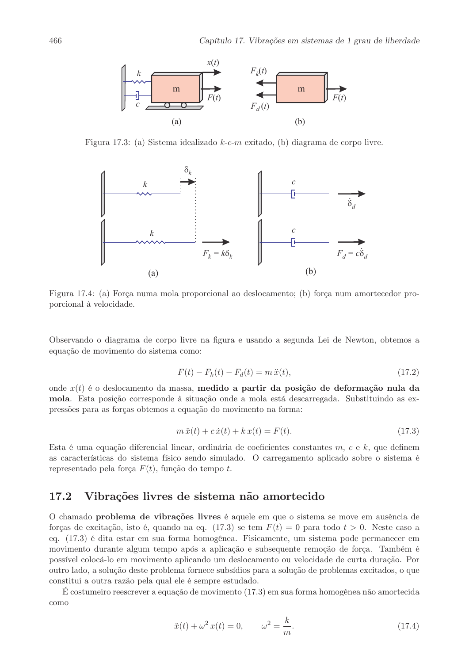

Figura 17.3: (a) Sistema idealizado  $k$ -c-m exitado, (b) diagrama de corpo livre.



Figura 17.4: (a) Força numa mola proporcional ao deslocamento; (b) força num amortecedor proporcional à velocidade.

Observando o diagrama de corpo livre na figura e usando a segunda Lei de Newton, obtemos a equação de movimento do sistema como:

$$
F(t) - F_k(t) - F_d(t) = m\ddot{x}(t),
$$
\n(17.2)

onde  $x(t)$  é o deslocamento da massa, medido a partir da posição de deformação nula da mola. Esta posição corresponde à situação onde a mola está descarregada. Substituindo as expressões para as forças obtemos a equação do movimento na forma:

$$
m\ddot{x}(t) + c\dot{x}(t) + kx(t) = F(t).
$$
\n(17.3)

Esta é uma equação diferencial linear, ordinária de coeficientes constantes  $m, c \in k$ , que definem as características do sistema físico sendo simulado. O carregamento aplicado sobre o sistema é representado pela força  $F(t)$ , função do tempo t.

#### 17.2 Vibrações livres de sistema não amortecido

O chamado problema de vibrações livres é aquele em que o sistema se move em ausência de forças de excitação, isto é, quando na eq. (17.3) se tem  $F(t) = 0$  para todo  $t > 0$ . Neste caso a eq. (17.3) é dita estar em sua forma homogênea. Fisicamente, um sistema pode permanecer em movimento durante algum tempo após a aplicação e subsequente remoção de força. Também é possível colocá-lo em movimento aplicando um deslocamento ou velocidade de curta duração. Por outro lado, a solução deste problema fornece subsídios para a solução de problemas excitados, o que constitui a outra razão pela qual ele é sempre estudado.

 $\hat{E}$  costumeiro reescrever a equação de movimento (17.3) em sua forma homogênea não amortecida como

$$
\ddot{x}(t) + \omega^2 x(t) = 0, \qquad \omega^2 = \frac{k}{m}.
$$
 (17.4)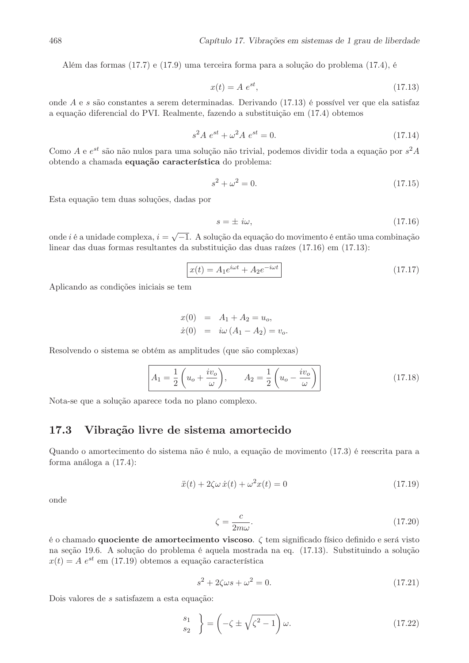Além das formas (17.7) e (17.9) uma terceira forma para a solução do problema (17.4), é

$$
x(t) = A e^{st}, \tag{17.13}
$$

onde  $A$  e  $s$  são constantes a serem determinadas. Derivando (17.13) é possível ver que ela satisfaz a equação diferencial do PVI. Realmente, fazendo a substituição em (17.4) obtemos

$$
s^2 A e^{st} + \omega^2 A e^{st} = 0.
$$
 (17.14)

Como  $A$  e  $e^{st}$  são não nulos para uma solução não trivial, podemos dividir toda a equação por  $s^2A$ obtendo a chamada equação característica do problema:

$$
s^2 + \omega^2 = 0.\t(17.15)
$$

Esta equação tem duas soluções, dadas por

$$
s = \pm i\omega,\tag{17.16}
$$

onde  $i$  é a unidade complexa,  $i=\sqrt{-1}.$  A solução da equação do movimento é então uma combinação linear das duas formas resultantes da substituição das duas raízes (17.16) em (17.13):

$$
x(t) = A_1 e^{i\omega t} + A_2 e^{-i\omega t}
$$
 (17.17)

Aplicando as condições iniciais se tem

$$
x(0) = A_1 + A_2 = u_o,
$$
  
\n
$$
\dot{x}(0) = i\omega (A_1 - A_2) = v_o.
$$

Resolvendo o sistema se obtém as amplitudes (que são complexas)

$$
A_1 = \frac{1}{2} \left( u_o + \frac{iv_o}{\omega} \right), \qquad A_2 = \frac{1}{2} \left( u_o - \frac{iv_o}{\omega} \right)
$$
 (17.18)

Nota-se que a solução aparece toda no plano complexo.

## 17.3 Vibração livre de sistema amortecido

Quando o amortecimento do sistema não é nulo, a equação de movimento (17.3) é reescrita para a forma análoga a  $(17.4)$ :

$$
\ddot{x}(t) + 2\zeta\omega \,\dot{x}(t) + \omega^2 x(t) = 0\tag{17.19}
$$

onde

$$
\zeta = \frac{c}{2m\omega}.\tag{17.20}
$$

é o chamado **quociente de amortecimento viscoso**.  $\zeta$  tem significado físico definido e será visto na seção 19.6. A solução do problema é aquela mostrada na eq. (17.13). Substituindo a solução  $x(t) = A e^{st}$  em (17.19) obtemos a equação característica

$$
s^2 + 2\zeta\omega s + \omega^2 = 0.\tag{17.21}
$$

Dois valores de  $s$ satisfazem a esta equação:

$$
\begin{pmatrix} s_1 \\ s_2 \end{pmatrix} = \left( -\zeta \pm \sqrt{\zeta^2 - 1} \right) \omega.
$$
 (17.22)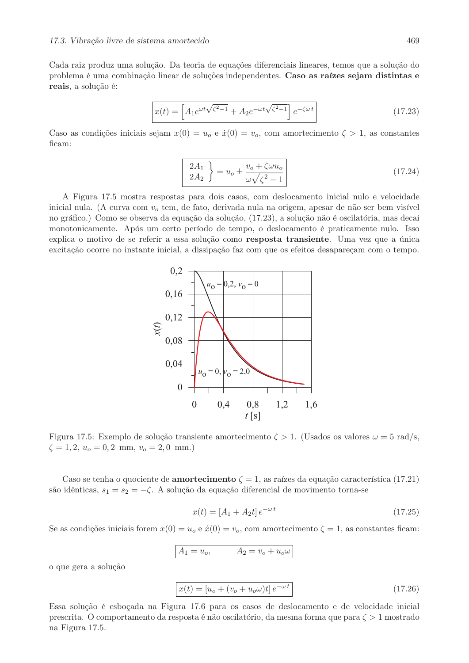Cada raiz produz uma solução. Da teoria de equações diferenciais lineares, temos que a solução do problema é uma combinação linear de soluções independentes. Caso as raízes sejam distintas e reais, a solução é:

$$
x(t) = \left[A_1 e^{\omega t \sqrt{\zeta^2 - 1}} + A_2 e^{-\omega t \sqrt{\zeta^2 - 1}}\right] e^{-\zeta \omega t}
$$
 (17.23)

Caso as condições iniciais sejam  $x(0) = u<sub>o</sub>$  e  $\dot{x}(0) = v<sub>o</sub>$ , com amortecimento  $\zeta > 1$ , as constantes ficam:

$$
\begin{bmatrix} 2A_1 \\ 2A_2 \end{bmatrix} = u_o \pm \frac{v_o + \zeta \omega u_o}{\omega \sqrt{\zeta^2 - 1}} \tag{17.24}
$$

A Figura 17.5 mostra respostas para dois casos, com deslocamento inicial nulo e velocidade inicial nula. (A curva com  $v<sub>o</sub>$  tem, de fato, derivada nula na origem, apesar de não ser bem visível no gráfico.) Como se observa da equação da solução, (17.23), a solução não é oscilatória, mas decai monotonicamente. Após um certo período de tempo, o deslocamento é praticamente nulo. Isso explica o motivo de se referir a essa solução como resposta transiente. Uma vez que a única excitação ocorre no instante inicial, a dissipação faz com que os efeitos desapareçam com o tempo.



Figura 17.5: Exemplo de solução transiente amortecimento  $\zeta > 1$ . (Usados os valores  $\omega = 5$  rad/s,  $\zeta = 1, 2, u_o = 0, 2 \text{ mm}, v_o = 2, 0 \text{ mm}.$ 

Caso se tenha o quociente de **amortecimento**  $\zeta = 1$ , as raízes da equação característica (17.21) são idênticas,  $s_1 = s_2 = -\zeta$ . A solução da equação diferencial de movimento torna-se

$$
x(t) = [A_1 + A_2 t] e^{-\omega t}
$$
\n(17.25)

Se as condições iniciais forem  $x(0) = u_0 e \dot{x}(0) = v_0$ , com amortecimento  $\zeta = 1$ , as constantes ficam:

$$
A_1 = u_o, \qquad A_2 = v_o + u_o \omega
$$

o que gera a solução

$$
x(t) = [u_o + (v_o + u_o \omega)t] e^{-\omega t}
$$
\n(17.26)

Essa solução é esboçada na Figura 17.6 para os casos de deslocamento e de velocidade inicial prescrita. O comportamento da resposta é não oscilatório, da mesma forma que para  $\zeta > 1$  mostrado na Figura 17.5.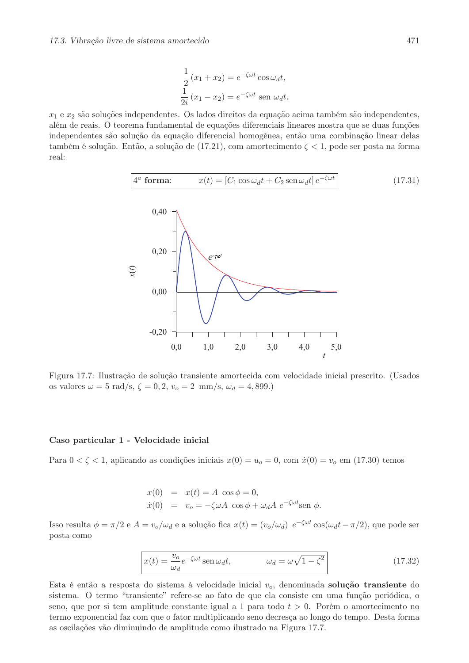$$
\frac{1}{2}(x_1 + x_2) = e^{-\zeta \omega t} \cos \omega_d t,
$$
  

$$
\frac{1}{2i}(x_1 - x_2) = e^{-\zeta \omega t} \text{ sen } \omega_d t.
$$

 $x_1$  e  $x_2$  são soluções independentes. Os lados direitos da equação acima também são independentes, além de reais. O teorema fundamental de equações diferenciais lineares mostra que se duas funções independentes são solução da equação diferencial homogênea, então uma combinação linear delas  $\tanh$ ém é solução. Então, a solução de (17.21), com amortecimento  $\zeta < 1$ , pode ser posta na forma real:



Figura 17.7: Ilustração de solução transiente amortecida com velocidade inicial prescrito. (Usados os valores  $\omega = 5 \text{ rad/s}, \zeta = 0, 2, v_o = 2 \text{ mm/s}, \omega_d = 4,899.)$ 

## Caso particular 1 - Velocidade inicial

Para  $0 < \zeta < 1$ , aplicando as condições iniciais  $x(0) = u_o = 0$ , com  $\dot{x}(0) = v_o$  em (17.30) temos

$$
x(0) = x(t) = A \cos \phi = 0,
$$
  
\n
$$
\dot{x}(0) = v_o = -\zeta \omega A \cos \phi + \omega_d A e^{-\zeta \omega t} \sin \phi.
$$

Isso resulta  $\phi = \pi/2$  e  $A = v_o/\omega_d$  e a solução fica  $x(t) = (v_o/\omega_d) e^{-\zeta \omega t} \cos(\omega_d t - \pi/2)$ , que pode ser posta como

$$
x(t) = \frac{v_o}{\omega_d} e^{-\zeta \omega t} \operatorname{sen} \omega_d t, \qquad \omega_d = \omega \sqrt{1 - \zeta^2}
$$
 (17.32)

Esta é então a resposta do sistema à velocidade inicial  $v_o$ , denominada solução transiente do sistema. O termo "transiente" refere-se ao fato de que ela consiste em uma função periódica, o seno, que por si tem amplitude constante igual a 1 para todo  $t > 0$ . Porém o amortecimento no termo exponencial faz com que o fator multiplicando seno decresça ao longo do tempo. Desta forma as oscilações vão diminuindo de amplitude como ilustrado na Figura 17.7.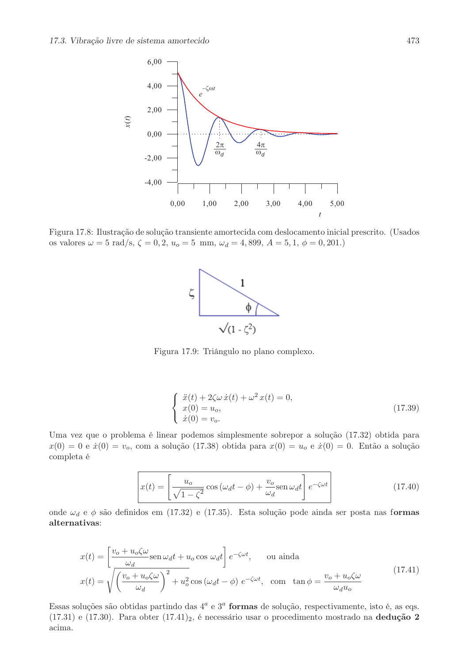

Figura 17.8: Ilustração de solução transiente amortecida com deslocamento inicial prescrito. (Usados os valores  $\omega = 5$  rad/s,  $\zeta = 0, 2, u_o = 5$  mm,  $\omega_d = 4, 899, A = 5, 1, \phi = 0, 201$ .



Figura 17.9: Triângulo no plano complexo.

$$
\begin{cases}\n\ddot{x}(t) + 2\zeta\omega \,\dot{x}(t) + \omega^2 \,x(t) = 0, \\
x(0) = u_o, \\
\dot{x}(0) = v_o.\n\end{cases}
$$
\n(17.39)

Uma vez que o problema é linear podemos simplesmente sobrepor a solução (17.32) obtida para  $x(0) = 0$  e  $\dot{x}(0) = v_o$ , com a solução (17.38) obtida para  $x(0) = u_o$  e  $\dot{x}(0) = 0$ . Então a solução completa é

$$
x(t) = \left[\frac{u_o}{\sqrt{1 - \zeta^2}} \cos(\omega_d t - \phi) + \frac{v_o}{\omega_d} \text{sen}\,\omega_d t\right] e^{-\zeta \omega t}
$$
(17.40)

onde  $\omega_d$  e  $\phi$  são definidos em (17.32) e (17.35). Esta solução pode ainda ser posta nas formas alternativas:

$$
x(t) = \left[\frac{v_o + u_o\zeta\omega}{\omega_d} \operatorname{sen}\omega_d t + u_o \cos \omega_d t\right] e^{-\zeta\omega t}, \quad \text{ou ainda}
$$

$$
x(t) = \sqrt{\left(\frac{v_o + u_o\zeta\omega}{\omega_d}\right)^2 + u_o^2 \cos\left(\omega_d t - \phi\right)} e^{-\zeta\omega t}, \quad \text{com tan }\phi = \frac{v_o + u_o\zeta\omega}{\omega_d u_o}
$$
(17.41)

Essas soluções são obtidas partindo das  $4^a$  e  $3^a$  formas de solução, respectivamente, isto é, as eqs.  $(17.31)$  e  $(17.30)$ . Para obter  $(17.41)_2$ , é necessário usar o procedimento mostrado na dedução 2 acima.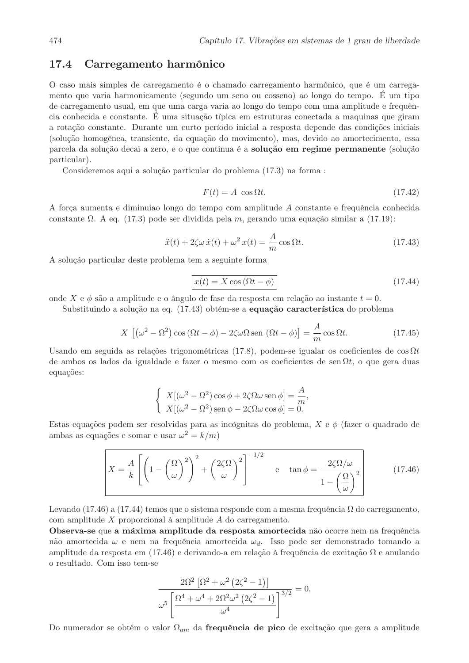#### 17.4 Carregamento harmônico

O caso mais simples de carregamento é o chamado carregamento harmônico, que é um carregamento que varia harmonicamente (segundo um seno ou cosseno) ao longo do tempo. É um tipo de carregamento usual, em que uma carga varia ao longo do tempo com uma amplitude e frequência conhecida e constante. É uma situação típica em estruturas conectada a maquinas que giram a rotação constante. Durante um curto período inicial a resposta depende das condições iniciais (solução homogênea, transiente, da equação do movimento), mas, devido ao amortecimento, essa parcela da solução decai a zero, e o que continua é a solução em regime permanente (solução particular).

Consideremos aqui a solução particular do problema (17.3) na forma :

$$
F(t) = A \cos \Omega t. \tag{17.42}
$$

A força aumenta e diminuias longo do tempo com amplitude A constante e frequência conhecida constante  $\Omega$ . A eq. (17.3) pode ser dividida pela m, gerando uma equação similar a (17.19):

$$
\ddot{x}(t) + 2\zeta\omega \,\dot{x}(t) + \omega^2 \,x(t) = \frac{A}{m}\cos\Omega t.\tag{17.43}
$$

A solução particular deste problema tem a seguinte forma

$$
x(t) = X \cos(\Omega t - \phi)
$$
 (17.44)

onde X e  $\phi$  são a amplitude e o ângulo de fase da resposta em relação ao instante  $t = 0$ .

Substituindo a solução na eq. (17.43) obtém-se a **equação característica** do problema

$$
X\left[\left(\omega^2 - \Omega^2\right)\cos\left(\Omega t - \phi\right) - 2\zeta\omega\Omega\sin\left(\Omega t - \phi\right)\right] = \frac{A}{m}\cos\Omega t.
$$
\n(17.45)

Usando em seguida as relações trigonométricas (17.8), podem-se igualar os coeficientes de  $\cos \Omega t$ de ambos os lados da igualdade e fazer o mesmo com os coeficientes de sen $\Omega t$ , o que gera duas equações:

$$
\begin{cases}\nX[(\omega^2 - \Omega^2)\cos\phi + 2\zeta\Omega\omega\sin\phi] = \frac{A}{m},\\ \nX[(\omega^2 - \Omega^2)\sin\phi - 2\zeta\Omega\omega\cos\phi] = 0.\n\end{cases}
$$

Estas equações podem ser resolvidas para as incógnitas do problema,  $X e \phi$  (fazer o quadrado de ambas as equações e somar e usar  $\omega^2 = k/m$ )

$$
X = \frac{A}{k} \left[ \left( 1 - \left( \frac{\Omega}{\omega} \right)^2 \right)^2 + \left( \frac{2\zeta\Omega}{\omega} \right)^2 \right]^{-1/2} \quad \text{e} \quad \tan \phi = \frac{2\zeta\Omega/\omega}{1 - \left( \frac{\Omega}{\omega} \right)^2} \tag{17.46}
$$

Levando (17.46) a (17.44) temos que o sistema responde com a mesma frequência  $\Omega$  do carregamento, com amplitude  $X$  proporcional à amplitude  $A$  do carregamento.

Observa-se que a máxima amplitude da resposta amortecida não ocorre nem na frequência não amortecida  $\omega$  e nem na frequência amortecida  $\omega_d$ . Isso pode ser demonstrado tomando a amplitude da resposta em (17.46) e derivando-a em relação à frequência de excitação  $\Omega$  e anulando o resultado. Com isso tem-se

$$
\frac{2\Omega^2 \left[\Omega^2 + \omega^2 \left(2\zeta^2 - 1\right)\right]}{\omega^5 \left[\frac{\Omega^4 + \omega^4 + 2\Omega^2 \omega^2 \left(2\zeta^2 - 1\right)}{\omega^4}\right]^{3/2}} = 0.
$$

Do numerador se obtém o valor  $\Omega_{am}$  da **frequência de pico** de excitação que gera a amplitude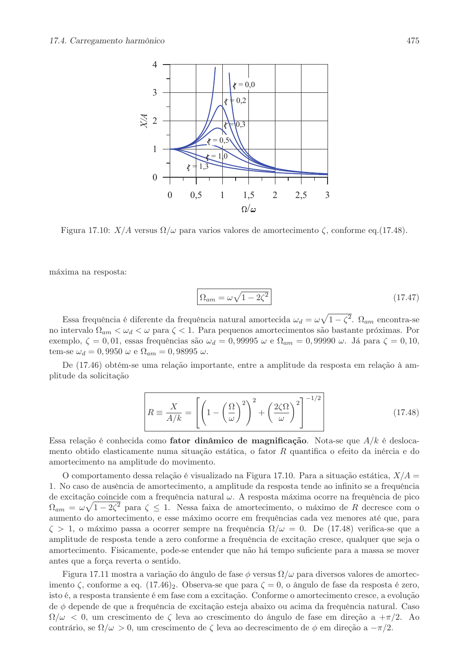

Figura 17.10:  $X/A$  versus  $\Omega/\omega$  para varios valores de amortecimento  $\zeta$ , conforme eq. (17.48).

máxima na resposta:

$$
\Omega_{am} = \omega \sqrt{1 - 2\zeta^2} \tag{17.47}
$$

Essa frequência é diferente da frequência natural amortecida  $\omega_d = \omega \sqrt{1 - \zeta^2}$ .  $\Omega_{am}$  encontra-se no intervalo  $\Omega_{am} < \omega_d < \omega$  para  $\zeta < 1$ . Para pequenos amortecimentos são bastante próximas. Por exemplo,  $\zeta = 0.01$ , essas frequências são  $\omega_d = 0.99995 \ \omega$  e  $\Omega_{am} = 0.99990 \ \omega$ . Já para  $\zeta = 0.10$ . tem-se  $\omega_d = 0,9950 \omega$  e  $\Omega_{am} = 0,98995 \omega$ .

De (17.46) obtém-se uma relação importante, entre a amplitude da resposta em relação à amplitude da solicitação

$$
R \equiv \frac{X}{A/k} = \left[ \left( 1 - \left( \frac{\Omega}{\omega} \right)^2 \right)^2 + \left( \frac{2\zeta\Omega}{\omega} \right)^2 \right]^{-1/2} \tag{17.48}
$$

Essa relação é conhecida como **fator dinâmico de magnificação**. Nota-se que  $A/k$  é deslocamento obtido elasticamente numa situação estática, o fator R quantifica o efeito da inércia e do amortecimento na amplitude do movimento.

O comportamento dessa relação é visualizado na Figura 17.10. Para a situação estática,  $X/A$ 1. No caso de ausência de amortecimento, a amplitude da resposta tende ao infinito se a frequência de excitação coincide com a frequência natural  $\omega$ . A resposta máxima ocorre na frequência de pico  $\Omega_{am} = \omega \sqrt{1 - 2\zeta^2}$  para  $\zeta \leq 1$ . Nessa faixa de amortecimento, o máximo de R decresce com o aumento do amortecimento, e esse máximo ocorre em frequências cada vez menores até que, para  $\zeta > 1$ , o máximo passa a ocorrer sempre na frequência  $\Omega/\omega = 0$ . De (17.48) verifica-se que a amplitude de resposta tende a zero conforme a frequência de excitação cresce, qualquer que seja o amortecimento. Fisicamente, pode-se entender que não há tempo suficiente para a massa se mover antes que a força reverta o sentido.

Figura 17.11 mostra a variação do ângulo de fase  $\phi$  versus  $\Omega/\omega$  para diversos valores de amortecimento  $\zeta$ , conforme a eq. (17.46)<sub>2</sub>. Observa-se que para  $\zeta = 0$ , o ângulo de fase da resposta é zero, isto é, a resposta transiente é em fase com a excitação. Conforme o amortecimento cresce, a evolução de  $\phi$  depende de que a frequência de excitação esteja abaixo ou acima da frequência natural. Caso  $\Omega/\omega < 0$ , um crescimento de  $\zeta$  leva ao crescimento do ângulo de fase em direção a  $+\pi/2$ . Ao contrário, se  $\Omega/\omega > 0$ , um crescimento de  $\zeta$  leva ao decrescimento de  $\phi$  em direção a  $-\pi/2$ .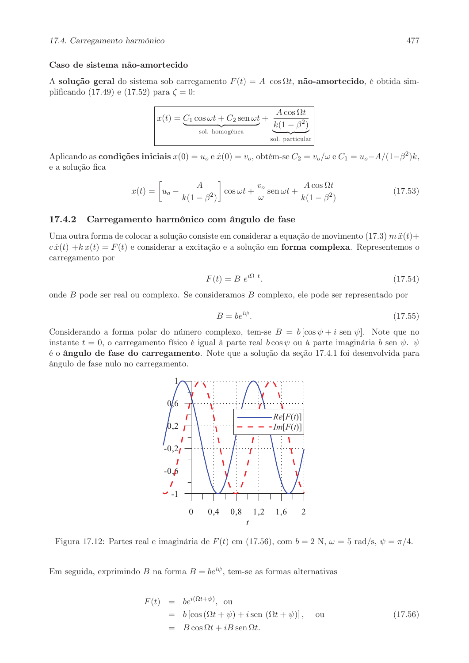## Caso de sistema não-amortecido

A solução geral do sistema sob carregamento  $F(t) = A \cos \Omega t$ , não-amortecido, é obtida simplificando (17.49) e (17.52) para  $\zeta = 0$ :

$$
x(t) = \underbrace{C_1 \cos \omega t + C_2 \operatorname{sen} \omega t}_{\text{sol. homogénea}} + \underbrace{\frac{A \cos \Omega t}{k(1 - \beta^2)}}_{\text{sol. particular}}
$$

Aplicando as condições iniciais  $x(0) = u_o e \dot{x}(0) = v_o$ , obtém-se  $C_2 = v_o/\omega e C_1 = u_o - A/(1-\beta^2)k$ , e a solução fica

$$
x(t) = \left[ u_o - \frac{A}{k(1 - \beta^2)} \right] \cos \omega t + \frac{v_o}{\omega} \sin \omega t + \frac{A \cos \Omega t}{k(1 - \beta^2)} \tag{17.53}
$$

#### 17.4.2 Carregamento harmônico com ângulo de fase

Uma outra forma de colocar a solução consiste em considerar a equação de movimento  $(17.3)$  m  $\ddot{x}(t)$  +  $c\dot{x}(t) + kx(t) = F(t)$  e considerar a excitação e a solução em **forma complexa**. Representemos o carregamento por

$$
F(t) = B e^{i\Omega t}.\tag{17.54}
$$

onde  $B$  pode ser real ou complexo. Se consideramos  $B$  complexo, ele pode ser representado por

$$
B = be^{i\psi}.\tag{17.55}
$$

Considerando a forma polar do número complexo, tem-se  $B = b [\cos \psi + i \sin \psi]$ . Note que no instante  $t = 0$ , o carregamento físico é igual à parte real  $b \cos \psi$  ou à parte imaginária  $b \text{ sen } \psi$ .  $\psi$ é o ângulo de fase do carregamento. Note que a solução da seção 17.4.1 foi desenvolvida para ângulo de fase nulo no carregamento.



Figura 17.12: Partes real e imaginária de  $F(t)$  em (17.56), com  $b = 2$  N,  $\omega = 5$  rad/s,  $\psi = \pi/4$ .

Em seguida, exprimindo B na forma  $B = be^{i\psi}$ , tem-se as formas alternativas

$$
F(t) = be^{i(\Omega t + \psi)}, \text{ ou}
$$
  
=  $b [\cos (\Omega t + \psi) + i \sin (\Omega t + \psi)], \text{ ou}$   
=  $B \cos \Omega t + iB \sin \Omega t.$  (17.56)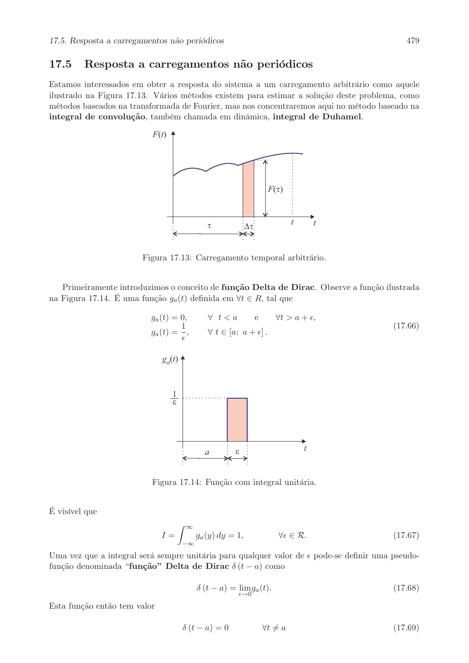#### 17.5 Resposta a carregamentos não periódicos

Estamos interessados em obter a resposta do sistema a um carregamento arbitrário como aquele ilustrado na Figura 17.13. Vários métodos existem para estimar a solução deste problema, como métodos baseados na transformada de Fourier, mas nos concentraremos aqui no método baseado na integral de convolução, também chamada em dinâmica, integral de Duhamel.



Figura 17.13: Carregamento temporal arbitrário.

Primeiramente introduzimos o conceito de função Delta de Dirac. Observe a função ilustrada na Figura 17.14. É uma função  $g_a(t)$  definida em  $\forall t \in R$ , tal que



Figura 17.14: Função com integral unitária.

É visível que

$$
I = \int_{-\infty}^{\infty} g_a(y) \, dy = 1, \qquad \forall \epsilon \in \mathcal{R}.
$$
 (17.67)

Uma vez que a integral será sempre unitária para qualquer valor de  $\epsilon$  pode-se definir uma pseudofunção denominada "função" Delta de Dirac  $\delta(t-a)$  como

$$
\delta(t - a) = \lim_{\epsilon \to 0} g_a(t). \tag{17.68}
$$

Esta função então tem valor

$$
\delta(t - a) = 0 \qquad \forall t \neq a \tag{17.69}
$$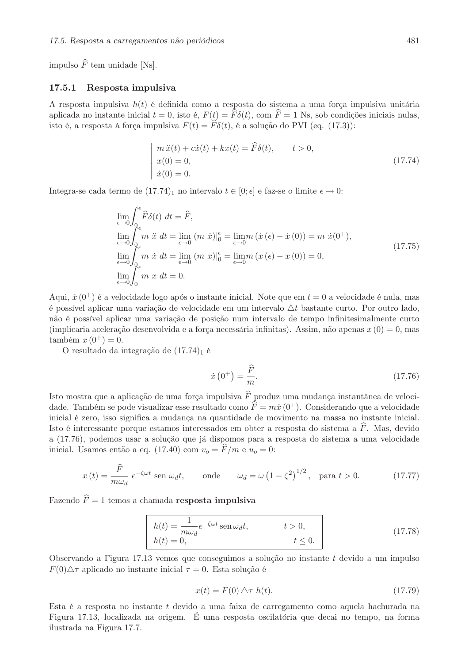impulso  $\widehat{F}$  tem unidade [Ns].

#### 17.5.1 Resposta impulsiva

A resposta impulsiva  $h(t)$  é definida como a resposta do sistema a uma força impulsiva unitária aplicada no instante inicial  $t = 0$ , isto é,  $F(t) = \hat{F}\delta(t)$ , com  $\hat{F} = 1$  Ns, sob condições iniciais nulas, isto é, a resposta à força impulsiva  $F(t) = \hat{F}\delta(t)$ , é a solução do PVI (eq. (17.3)):

$$
m\ddot{x}(t) + c\dot{x}(t) + kx(t) = \ddot{F}\delta(t), \qquad t > 0,
$$
  
\n
$$
x(0) = 0,
$$
  
\n
$$
\dot{x}(0) = 0.
$$
\n(17.74)

Integra-se cada termo de (17.74)<sub>1</sub> no intervalo  $t \in [0; \epsilon]$  e faz-se o limite  $\epsilon \to 0$ :

$$
\lim_{\epsilon \to 0} \int_{0_{\epsilon}}^{\epsilon} \widehat{F} \delta(t) dt = \widehat{F},
$$
\n
$$
\lim_{\epsilon \to 0} \int_{0_{\epsilon}}^{\epsilon} m \ddot{x} dt = \lim_{\epsilon \to 0} (m \dot{x})|_{0}^{\epsilon} = \lim_{\epsilon \to 0} m (\dot{x} (\epsilon) - \dot{x} (0)) = m \dot{x} (0^{+}),
$$
\n
$$
\lim_{\epsilon \to 0} \int_{0_{\epsilon}}^{\epsilon} m \dot{x} dt = \lim_{\epsilon \to 0} (m \dot{x})|_{0}^{\epsilon} = \lim_{\epsilon \to 0} m (x (\epsilon) - x (0)) = 0,
$$
\n
$$
\lim_{\epsilon \to 0} \int_{0}^{\epsilon} m \dot{x} dt = 0.
$$
\n(17.75)

Aqui,  $\dot{x}(0^+)$  é a velocidade logo após o instante inicial. Note que em  $t=0$  a velocidade é nula, mas é possível aplicar uma variação de velocidade em um intervalo  $\Delta t$  bastante curto. Por outro lado, não é possível aplicar uma variação de posição num intervalo de tempo infinitesimalmente curto (implicaria aceleração desenvolvida e a força necessária infinitas). Assim, não apenas  $x(0) = 0$ , mas também  $x(0^+) = 0$ .

O resultado da integração de  $(17.74)_1$  é

$$
\dot{x}\left(0^{+}\right) = \frac{\widehat{F}}{m}.\tag{17.76}
$$

Isto mostra que a aplicação de uma força impulsiva $\widehat{F}$  produz uma mudança instantânea de velocidade. Também se pode visualizar esse resultado como  $\hat{F} = m\dot{x}(0^+)$ . Considerando que a velocidade inicial é zero, isso significa a mudança na quantidade de movimento na massa no instante inicial. Isto é interessante porque estamos interessados em obter a resposta do sistema a  $\tilde{F}$ . Mas, devido a (17.76), podemos usar a solução que já dispomos para a resposta do sistema a uma velocidade inicial. Usamos então a eq. (17.40) com  $v_o = \hat{F}/m$  e  $u_o = 0$ :

$$
x(t) = \frac{\hat{F}}{m\omega_d} e^{-\zeta\omega t} \text{ sen } \omega_d t, \quad \text{onde} \quad \omega_d = \omega \left(1 - \zeta^2\right)^{1/2}, \text{ para } t > 0. \quad (17.77)
$$

Fazendo  $\widehat{F} = 1$  temos a chamada resposta impulsiva

$$
\begin{vmatrix}\nh(t) = \frac{1}{m\omega_d} e^{-\zeta\omega t} \operatorname{sen}\omega_d t, & t > 0, \\
h(t) = 0, & t \le 0.\n\end{vmatrix}
$$
\n(17.78)

Observando a Figura 17.13 vemos que conseguimos a solução no instante  $t$  devido a um impulso  $F(0)\triangle \tau$  aplicado no instante inicial  $\tau = 0$ . Esta solução é

$$
x(t) = F(0) \triangle \tau \ h(t). \tag{17.79}
$$

Esta é a resposta no instante t devido a uma faixa de carregamento como aquela hachurada na Figura 17.13, localizada na origem. É uma resposta oscilatória que decai no tempo, na forma ilustrada na Figura 17.7.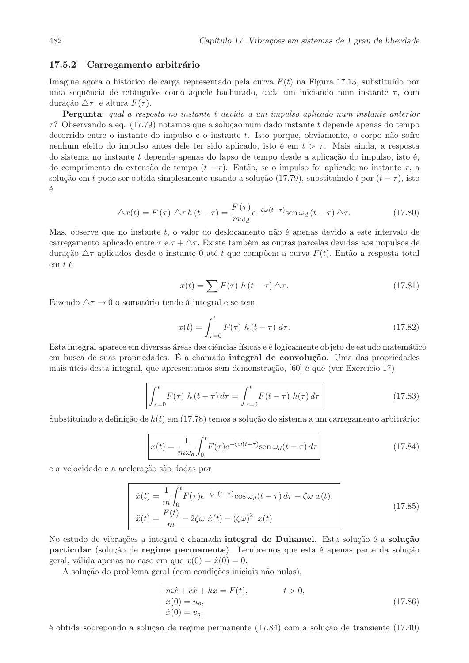#### 17.5.2 Carregamento arbitrário

Imagine agora o histórico de carga representado pela curva  $F(t)$  na Figura 17.13, substituído por uma sequência de retângulos como aquele hachurado, cada um iniciando num instante  $\tau$ , com duração  $\triangle \tau$ , e altura  $F(\tau)$ .

**Pergunta**: qual a resposta no instante t devido a um impulso aplicado num instante anterior  $\tau$ ? Observando a eq. (17.79) notamos que a solução num dado instante t depende apenas do tempo decorrido entre o instante do impulso e o instante t. Isto porque, obviamente, o corpo não sofre nenhum efeito do impulso antes dele ter sido aplicado, isto é em  $t > \tau$ . Mais ainda, a resposta do sistema no instante t depende apenas do lapso de tempo desde a aplicação do impulso, isto é, do comprimento da extensão de tempo  $(t - \tau)$ . Então, se o impulso foi aplicado no instante  $\tau$ , a solução em t pode ser obtida simplesmente usando a solução (17.79), substituindo t por  $(t-\tau)$ , isto  $\acute{\text{e}}$ 

$$
\Delta x(t) = F(\tau) \Delta \tau h(t - \tau) = \frac{F(\tau)}{m\omega_d} e^{-\zeta \omega(t - \tau)} \text{sen } \omega_d(t - \tau) \Delta \tau.
$$
 (17.80)

Mas, observe que no instante t, o valor do deslocamento não é apenas devido a este intervalo de carregamento aplicado entre  $\tau \in \tau + \Delta \tau$ . Existe também as outras parcelas devidas aos impulsos de duração  $\Delta \tau$  aplicados desde o instante 0 até t que compõem a curva  $F(t)$ . Então a resposta total  $em t$ é

$$
x(t) = \sum F(\tau) h(t - \tau) \Delta \tau.
$$
 (17.81)

Fazendo  $\Delta \tau \rightarrow 0$  o somatório tende à integral e se tem

$$
x(t) = \int_{\tau=0}^{t} F(\tau) h(t-\tau) d\tau.
$$
 (17.82)

Esta integral aparece em diversas áreas das ciências físicas e é logicamente objeto de estudo matemático em busca de suas propriedades. É a chamada integral de convolução. Uma das propriedades mais úteis desta integral, que apresentamos sem demonstração, [60] é que (ver Exercício 17)

$$
\int_{\tau=0}^{t} F(\tau) h(t-\tau) d\tau = \int_{\tau=0}^{t} F(t-\tau) h(\tau) d\tau
$$
\n(17.83)

Substituindo a definição de  $h(t)$  em (17.78) temos a solução do sistema a um carregamento arbitrário:

$$
x(t) = \frac{1}{m\omega_d} \int_0^t F(\tau) e^{-\zeta \omega(t-\tau)} \operatorname{sen} \omega_d(t-\tau) d\tau
$$
 (17.84)

e a velocidade e a aceleração são dadas por

$$
\dot{x}(t) = \frac{1}{m} \int_0^t F(\tau) e^{-\zeta \omega(t-\tau)} \cos \omega_d(t-\tau) d\tau - \zeta \omega x(t),
$$
\n
$$
\ddot{x}(t) = \frac{F(t)}{m} - 2\zeta \omega \dot{x}(t) - (\zeta \omega)^2 x(t)
$$
\n(17.85)

No estudo de vibrações a integral é chamada integral de Duhamel. Esta solução é a solução particular (solução de regime permanente). Lembremos que esta é apenas parte da solução geral, válida apenas no caso em que  $x(0) = \dot{x}(0) = 0$ .

A solução do problema geral (com condições iniciais não nulas),

$$
\begin{cases}\n m\ddot{x} + c\dot{x} + kx = F(t), & t > 0, \\
 x(0) = u_o, \\
 \dot{x}(0) = v_o,\n\end{cases}
$$
\n(17.86)

é obtida sobrepondo a solução de regime permanente (17.84) com a solução de transiente (17.40)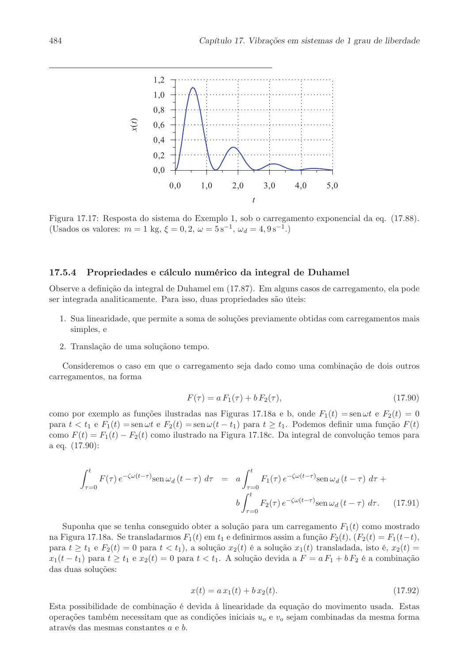

Figura 17.17: Resposta do sistema do Exemplo 1, sob o carregamento exponencial da eq. (17.88). (Usados os valores:  $m = 1$  kg,  $\xi = 0, 2, \omega = 5 \text{ s}^{-1}, \omega_d = 4, 9 \text{ s}^{-1}$ .)

#### 17.5.4 Propriedades e cálculo numérico da integral de Duhamel

Observe a definição da integral de Duhamel em (17.87). Em alguns casos de carregamento, ela pode ser integrada analiticamente. Para isso, duas propriedades são úteis:

- 1. Sua linearidade, que permite a soma de soluções previamente obtidas com carregamentos mais simples, e
- 2. Translação de uma soluçãono tempo.

Consideremos o caso em que o carregamento seja dado como uma combinação de dois outros carregamentos, na forma

$$
F(\tau) = a F_1(\tau) + b F_2(\tau), \tag{17.90}
$$

como por exemplo as funções ilustradas nas Figuras 17.18a e b, onde  $F_1(t) = \text{sen} \omega t$  e  $F_2(t) = 0$ para  $t < t_1$  e  $F_1(t) = \text{sen } \omega t$  e  $F_2(t) = \text{sen } \omega(t - t_1)$  para  $t \ge t_1$ . Podemos definir uma função  $F(t)$ como  $F(t) = F_1(t) - F_2(t)$  como ilustrado na Figura 17.18c. Da integral de convolução temos para a eq.  $(17.90)$ :

$$
\int_{\tau=0}^{t} F(\tau) e^{-\zeta \omega (t-\tau)} \operatorname{sen} \omega_d (t-\tau) d\tau = a \int_{\tau=0}^{t} F_1(\tau) e^{-\zeta \omega (t-\tau)} \operatorname{sen} \omega_d (t-\tau) d\tau + b \int_{\tau=0}^{t} F_2(\tau) e^{-\zeta \omega (t-\tau)} \operatorname{sen} \omega_d (t-\tau) d\tau.
$$
 (17.91)

Suponha que se tenha conseguido obter a solução para um carregamento  $F_1(t)$  como mostrado na Figura 17.18a. Se transladarmos  $F_1(t)$  em  $t_1$  e definirmos assim a função  $F_2(t)$ ,  $(F_2(t) = F_1(t-t)$ , para  $t \geq t_1$  e  $F_2(t) = 0$  para  $t < t_1$ , a solução  $x_2(t)$  é a solução  $x_1(t)$  transladada, isto é,  $x_2(t)$  $x_1(t-t_1)$  para  $t \ge t_1$  e  $x_2(t) = 0$  para  $t < t_1$ . A solução devida a  $F = a F_1 + b F_2$  é a combinação das duas soluções:

$$
x(t) = a x_1(t) + b x_2(t).
$$
\n(17.92)

Esta possibilidade de combinação é devida à linearidade da equação do movimento usada. Estas operações também necessitam que as condições iniciais  $u<sub>o</sub>$  e  $v<sub>o</sub>$  sejam combinadas da mesma forma através das mesmas constantes  $a e b$ .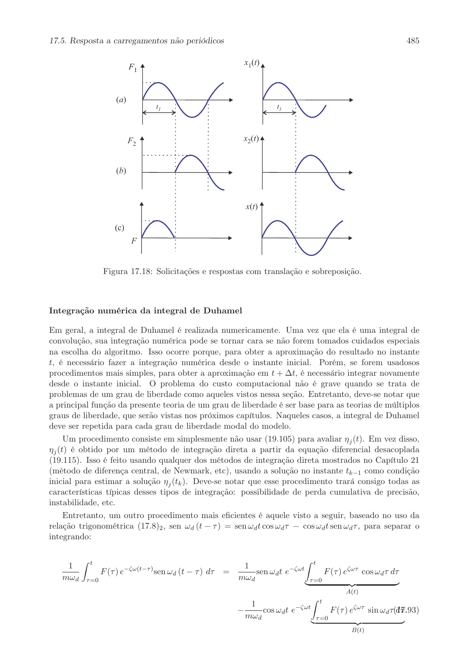

Figura 17.18: Solicitações e respostas com translação e sobreposição.

### Integração numérica da integral de Duhamel

Em geral, a integral de Duhamel é realizada numericamente. Uma vez que ela é uma integral de convolução, sua integração numérica pode se tornar cara se não forem tomados cuidados especiais na escolha do algoritmo. Isso ocorre porque, para obter a aproximação do resultado no instante  $t$ , é necessário fazer a integração numérica desde o instante inicial. Porém, se forem usadosos procedimentos mais simples, para obter a aproximação em  $t + \Delta t$ , é necessário integrar novamente desde o instante inicial. O problema do custo computacional não é grave quando se trata de problemas de um grau de liberdade como aqueles vistos nessa seção. Entretanto, deve-se notar que a principal função da presente teoria de um grau de liberdade é ser base para as teorias de múltiplos graus de liberdade, que serão vistas nos próximos capítulos. Naqueles casos, a integral de Duhamel deve ser repetida para cada grau de liberdade modal do modelo.

Um procedimento consiste em simplesmente não usar (19.105) para avaliar  $\eta_i(t)$ . Em vez disso,  $\eta_i(t)$  é obtido por um método de integração direta a partir da equação diferencial desacoplada (19.115). Isso é feito usando qualquer dos métodos de integração direta mostrados no Capítulo 21 (método de diferença central, de Newmark, etc), usando a solução no instante  $t_{k-1}$  como condição inicial para estimar a solução  $\eta_i(t_k)$ . Deve-se notar que esse procedimento trará consigo todas as características típicas desses tipos de integração: possibilidade de perda cumulativa de precisão. instabilidade, etc.

Entretanto, um outro procedimento mais eficientes é aquele visto a seguir, baseado no uso da relação trigonométrica (17.8)<sub>2</sub>, sen  $\omega_d(t-\tau) = \text{sen}\,\omega_d t \cos \omega_d \tau - \cos \omega_d t \sin \omega_d \tau$ , para separar o integrando:

$$
\frac{1}{m\omega_d} \int_{\tau=0}^t F(\tau) e^{-\zeta \omega (t-\tau)} \text{sen } \omega_d (t-\tau) d\tau = \frac{1}{m\omega_d} \text{sen } \omega_d t \ e^{-\zeta \omega t} \underbrace{\int_{\tau=0}^t F(\tau) e^{\zeta \omega \tau} \cos \omega_d \tau d\tau}_{A(t)} - \frac{1}{m\omega_d} \cos \omega_d t \ e^{-\zeta \omega t} \underbrace{\int_{\tau=0}^t F(\tau) e^{\zeta \omega \tau} \sin \omega_d \tau (d\tau)}_{B(t)}
$$